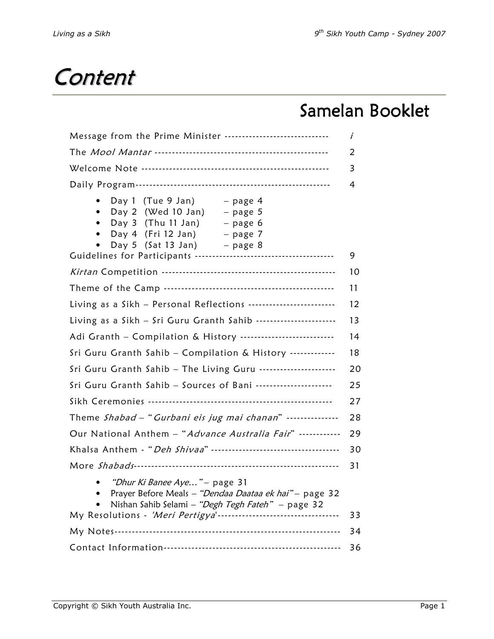# **Content**

## Samelan Booklet

| Message from the Prime Minister ------------------------------                                                                                                                   | i  |
|----------------------------------------------------------------------------------------------------------------------------------------------------------------------------------|----|
|                                                                                                                                                                                  | 2  |
|                                                                                                                                                                                  | 3  |
|                                                                                                                                                                                  | 4  |
| Day 1 (Tue 9 Jan)<br>$-$ page 4<br>$\bullet$<br>Day 2 (Wed 10 Jan) $-$ page 5<br>Day 3 (Thu 11 Jan) $-$ page 6<br>Day 4 (Fri 12 Jan) $-$ page 7<br>Day 5 $(Sat 13 Jan)$ - page 8 | 9  |
|                                                                                                                                                                                  | 10 |
|                                                                                                                                                                                  | 11 |
| Living as a Sikh - Personal Reflections -------------------------                                                                                                                | 12 |
| Living as a Sikh - Sri Guru Granth Sahib -----------------------                                                                                                                 | 13 |
| Adi Granth - Compilation & History --------------------------                                                                                                                    | 14 |
| Sri Guru Granth Sahib - Compilation & History -------------                                                                                                                      | 18 |
| Sri Guru Granth Sahib - The Living Guru ---------------------                                                                                                                    | 20 |
| Sri Guru Granth Sahib - Sources of Bani ----------------------                                                                                                                   | 25 |
|                                                                                                                                                                                  | 27 |
| Theme Shabad - "Gurbani eis jug mai chanan" ---------------                                                                                                                      | 28 |
| Our National Anthem - "Advance Australia Fair" ------------                                                                                                                      | 29 |
|                                                                                                                                                                                  | 30 |
|                                                                                                                                                                                  | 31 |
| "Dhur Ki Banee Aye" - page 31<br>Prayer Before Meals - "Dendaa Daataa ek hai" - page 32<br>Nishan Sahib Selami – "Degh Tegh Fateh" – page 32                                     | 33 |
|                                                                                                                                                                                  | 34 |
|                                                                                                                                                                                  | 36 |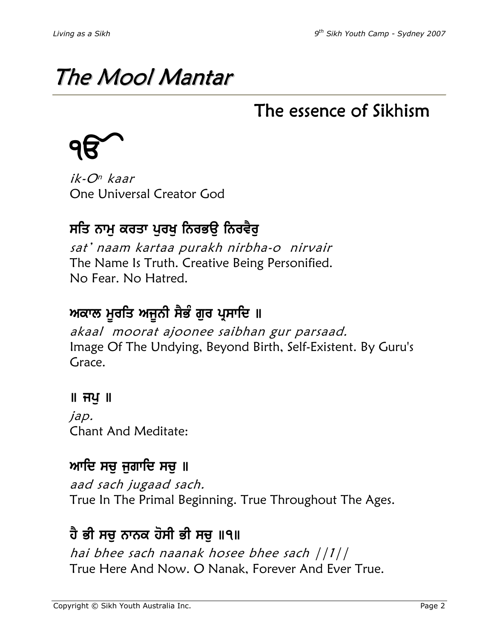# The Mool Mantar

## The essence of Sikhism

 $d\mathbf{g}$ 

ik-O<sup>n</sup> kaar One Universal Creator God

## ਸਤਿ ਨਾਮੂ ਕਰਤਾ ਪੂਰਖੂ ਨਿਰਭਉ ਨਿਰਵੈਰੁ

sat' naam kartaa purakh nirbha-o nirvair The Name Is Truth. Creative Being Personified. No Fear. No Hatred.

### ਅਕਾਲ ਮੁਰਤਿ ਅਜੁਨੀ ਸੈਭੰ ਗੁਰ ਪ੍ਰਸਾਦਿ ॥

akaal moorat ajoonee saibhan gur parsaad. Image Of The Undying, Beyond Birth, Self-Existent. By Guru's Grace.

### $\parallel$   $\overline{H}$  $\parallel$

jap. Chant And Meditate:

### ਆਦਿ ਸਚੁ ਜੁਗਾਦਿ ਸਚੁ ॥

aad sach jugaad sach. True In The Primal Beginning. True Throughout The Ages.

## ਹੈ ਭੀ ਸਚੂ ਨਾਨਕ ਹੋਸੀ ਭੀ ਸਚੂ ॥੧॥

hai bhee sach naanak hosee bhee sach ||1|| True Here And Now. O Nanak, Forever And Ever True.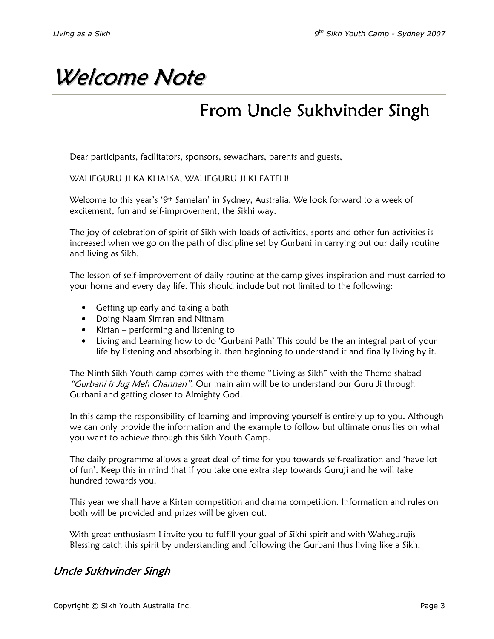# Welcome Note

## From Uncle Sukhvinder Singh

Dear participants, facilitators, sponsors, sewadhars, parents and guests,

WAHEGURU JI KA KHALSA, WAHEGURU JI KI FATEH!

Welcome to this year's '9<sup>th</sup> Samelan' in Sydney, Australia. We look forward to a week of excitement, fun and self-improvement, the Sikhi way.

The joy of celebration of spirit of Sikh with loads of activities, sports and other fun activities is increased when we go on the path of discipline set by Gurbani in carrying out our daily routine and living as Sikh.

The lesson of self-improvement of daily routine at the camp gives inspiration and must carried to your home and every day life. This should include but not limited to the following:

- Getting up early and taking a bath
- Doing Naam Simran and Nitnam
- Kirtan performing and listening to
- Living and Learning how to do 'Gurbani Path' This could be the an integral part of your life by listening and absorbing it, then beginning to understand it and finally living by it.

The Ninth Sikh Youth camp comes with the theme "Living as Sikh" with the Theme shabad "Gurbani is Jug Meh Channan". Our main aim will be to understand our Guru Ji through Gurbani and getting closer to Almighty God.

In this camp the responsibility of learning and improving yourself is entirely up to you. Although we can only provide the information and the example to follow but ultimate onus lies on what you want to achieve through this Sikh Youth Camp.

The daily programme allows a great deal of time for you towards self-realization and 'have lot of fun'. Keep this in mind that if you take one extra step towards Guruji and he will take hundred towards you.

This year we shall have a Kirtan competition and drama competition. Information and rules on both will be provided and prizes will be given out.

With great enthusiasm I invite you to fulfill your goal of Sikhi spirit and with Wahegurujis Blessing catch this spirit by understanding and following the Gurbani thus living like a Sikh.

### Uncle Sukhvinder Singh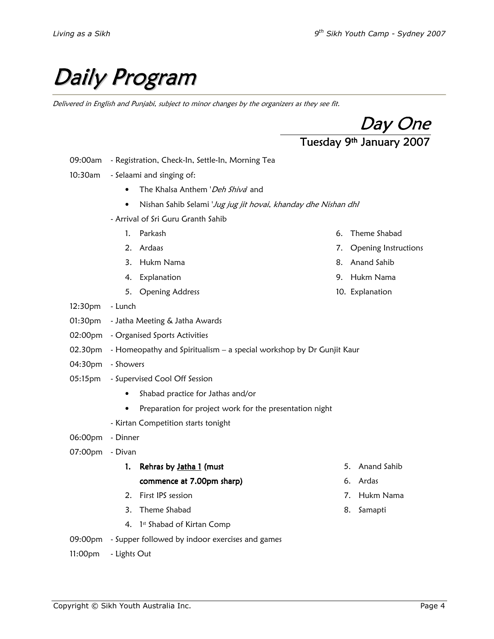# Daily Program

Delivered in English and Punjabi, subject to minor changes by the organizers as they see fit.

Day One

### Tuesday 9<sup>th</sup> January 2007

- 09:00am Registration, Check-In, Settle-In, Morning Tea
- 10:30am Selaami and singing of:
	- The Khalsa Anthem '*Deh Shiva*' and
	- Nishan Sahib Selami 'Jug jug jit hovai, khanday dhe Nishan dhi
	- Arrival of Sri Guru Granth Sahib
		- 1. Parkash
		- 2. Ardaas
		- 3. Hukm Nama
		- 4. Explanation
		- 5. Opening Address
- 12:30pm Lunch
- 01:30pm Jatha Meeting & Jatha Awards
- 02:00pm Organised Sports Activities
- 02.30pm Homeopathy and Spiritualism a special workshop by Dr Gunjit Kaur
- 04:30pm Showers
- 05:15pm Supervised Cool Off Session
	- Shabad practice for Jathas and/or
	- Preparation for project work for the presentation night
	- Kirtan Competition starts tonight
- 06:00pm Dinner
- 07:00pm Divan
	- 1. Rehras by Jatha 1 (must
		- commence at 7.00pm sharp)
	- 2. First IPS session
	- 3. Theme Shabad
	- 4. 1<sup>st</sup> Shabad of Kirtan Comp

09:00pm - Supper followed by indoor exercises and games

11:00pm - Lights Out

- 6. Theme Shabad
- 7. Opening Instructions
- 8. Anand Sahib
- 9. Hukm Nama
- 10. Explanation

- 5. Anand Sahib
- 6. Ardas
- 7. Hukm Nama
- 8. Samapti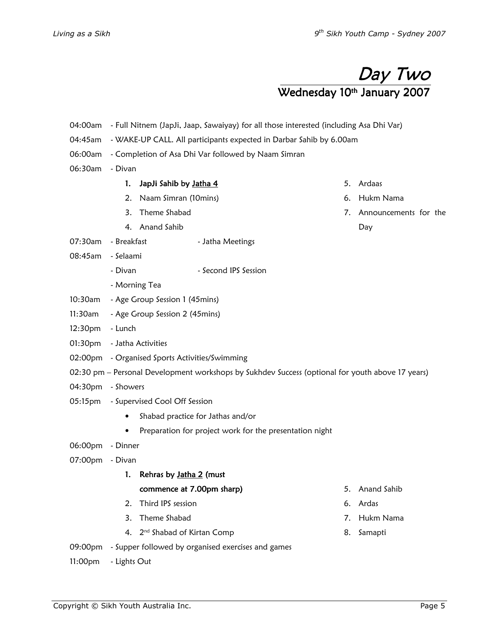### Day Two Wednesday 10<sup>th</sup> January 2007

- 04:00am Full Nitnem (JapJi, Jaap, Sawaiyay) for all those interested (including Asa Dhi Var)
- 04:45am WAKE-UP CALL. All participants expected in Darbar Sahib by 6.00am
- 06:00am Completion of Asa Dhi Var followed by Naam Simran
- 06:30am Divan
	- 1. JapJi Sahib by Jatha 4
	- 2. Naam Simran (10mins)
	- 3. Theme Shabad
	- 4. Anand Sahib
- 07:30am Breakfast Jatha Meetings
- 08:45am Selaami
	- Divan Second IPS Session
		- Morning Tea
- 10:30am Age Group Session 1 (45mins)
- 11:30am Age Group Session 2 (45mins)
- 12:30pm Lunch
- 01:30pm Jatha Activities
- 02:00pm Organised Sports Activities/Swimming
- 02:30 pm Personal Development workshops by Sukhdev Success (optional for youth above 17 years)
- 04:30pm Showers
- 05:15pm Supervised Cool Off Session
	- Shabad practice for Jathas and/or
	- Preparation for project work for the presentation night
- 06:00pm Dinner
- 07:00pm Divan
	- 1. Rehras by Jatha 2 (must
		- commence at 7.00pm sharp)
	- 2. Third IPS session
	- 3. Theme Shabad
	- 4. 2nd Shabad of Kirtan Comp
- 09:00pm Supper followed by organised exercises and games
- 11:00pm Lights Out
- 5. Anand Sahib
- 6. Ardas
- 7. Hukm Nama
- 8. Samapti

- 5. Ardaas
- 6. Hukm Nama
- 7. Announcements for the Day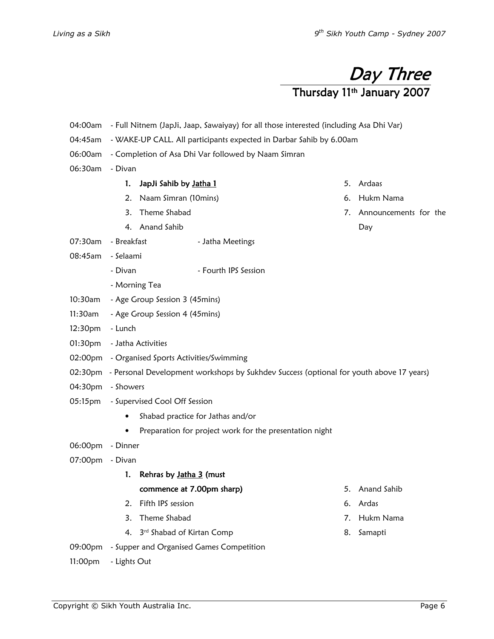### Day Three Thursday 11<sup>th</sup> January 2007

- 04:00am Full Nitnem (JapJi, Jaap, Sawaiyay) for all those interested (including Asa Dhi Var)
- 04:45am WAKE-UP CALL. All participants expected in Darbar Sahib by 6.00am
- 06:00am Completion of Asa Dhi Var followed by Naam Simran
- 06:30am Divan
	- 1. JapJi Sahib by Jatha 1
	- 2. Naam Simran (10mins)
	- 3. Theme Shabad
	- 4. Anand Sahib
- 07:30am Breakfast Jatha Meetings
- 08:45am Selaami
	- Divan Tourth IPS Session
		- Morning Tea
- 10:30am Age Group Session 3 (45mins)
- 11:30am Age Group Session 4 (45mins)
- 12:30pm Lunch
- 01:30pm Jatha Activities
- 02:00pm Organised Sports Activities/Swimming
- 02:30pm Personal Development workshops by Sukhdev Success (optional for youth above 17 years)
- 04:30pm Showers
- 05:15pm Supervised Cool Off Session
	- Shabad practice for Jathas and/or
	- Preparation for project work for the presentation night
- 06:00pm Dinner
- 07:00pm Divan
	- 1. Rehras by Jatha 3 (must
		- commence at 7.00pm sharp)
	- 2. Fifth IPS session
	- 3. Theme Shabad
	- 4. 3rd Shabad of Kirtan Comp
- 09:00pm Supper and Organised Games Competition
- 11:00pm Lights Out
- 5. Anand Sahib
- 6. Ardas
- 7. Hukm Nama
- 8. Samapti
- 5. Ardaas
- 6. Hukm Nama
- 7. Announcements for the Day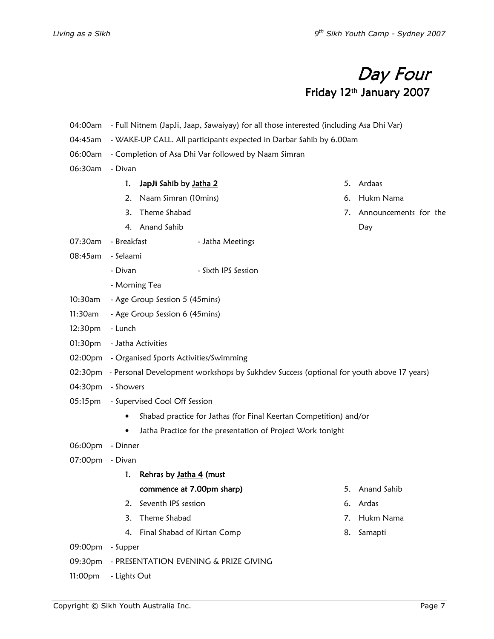### Day Four Friday 12<sup>th</sup> January 2007

5. Ardaas

Day

6. Hukm Nama

7. Announcements for the

- 04:00am Full Nitnem (JapJi, Jaap, Sawaiyay) for all those interested (including Asa Dhi Var)
- 04:45am WAKE-UP CALL. All participants expected in Darbar Sahib by 6.00am
- 06:00am Completion of Asa Dhi Var followed by Naam Simran
- 06:30am Divan
	- 1. JapJi Sahib by Jatha 2
	- 2. Naam Simran (10mins)
	- 3. Theme Shabad
	- 4. Anand Sahib
- 07:30am Breakfast Jatha Meetings
- 08:45am Selaami
	- Divan Sixth IPS Session
		- Morning Tea
- 10:30am Age Group Session 5 (45mins)
- 11:30am Age Group Session 6 (45mins)
- 12:30pm Lunch
- 01:30pm Jatha Activities
- 02:00pm Organised Sports Activities/Swimming
- 02:30pm Personal Development workshops by Sukhdev Success (optional for youth above 17 years)
- 04:30pm Showers
- 05:15pm Supervised Cool Off Session
	- Shabad practice for Jathas (for Final Keertan Competition) and/or
	- Jatha Practice for the presentation of Project Work tonight
- 06:00pm Dinner
- 07:00pm Divan
	- 1. Rehras by Jatha 4 (must
		- commence at 7.00pm sharp)
	- 2. Seventh IPS session
	- 3. Theme Shabad
	- 4. Final Shabad of Kirtan Comp
- 09:00pm Supper
- 09:30pm PRESENTATION EVENING & PRIZE GIVING
- 11:00pm Lights Out
- 5. Anand Sahib
- 6. Ardas
- 7. Hukm Nama
- 8. Samapti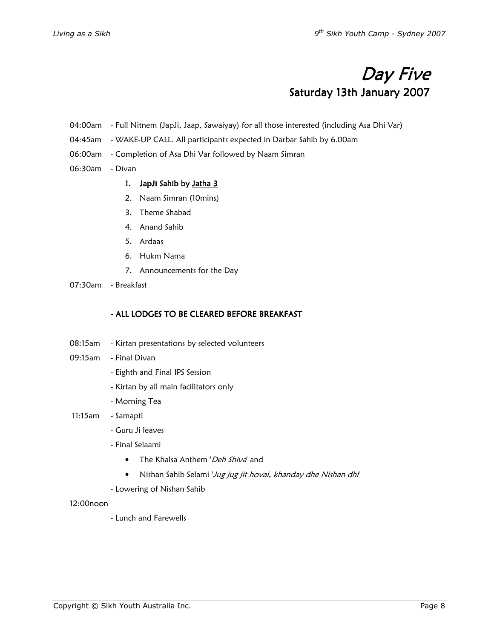### Day Five Saturday 13th January 2007

- 04:00am Full Nitnem (JapJi, Jaap, Sawaiyay) for all those interested (including Asa Dhi Var)
- 04:45am WAKE-UP CALL. All participants expected in Darbar Sahib by 6.00am
- 06:00am Completion of Asa Dhi Var followed by Naam Simran
- 06:30am Divan

#### 1. JapJi Sahib by Jatha 3

- 2. Naam Simran (10mins)
- 3. Theme Shabad
- 4. Anand Sahib
- 5. Ardaas
- 6. Hukm Nama
- 7. Announcements for the Day
- 07:30am Breakfast

#### - ALL LODGES TO BE CLEARED BEFORE BREAKFAST

- 08:15am Kirtan presentations by selected volunteers
- 09:15am Final Divan
	- Eighth and Final IPS Session
	- Kirtan by all main facilitators only
	- Morning Tea

#### 11:15am - Samapti

- Guru Ji leaves
- Final Selaami
	- The Khalsa Anthem '*Deh Shiva*' and
	- Nishan Sahib Selami 'Jug jug jit hovai, khanday dhe Nishan dhi
- Lowering of Nishan Sahib

#### 12:00noon

- Lunch and Farewells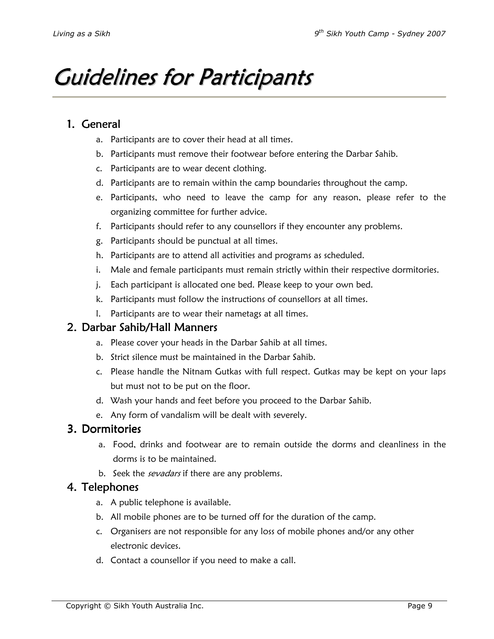# Guidelines for Participants

### 1. General

- a. Participants are to cover their head at all times.
- b. Participants must remove their footwear before entering the Darbar Sahib.
- c. Participants are to wear decent clothing.
- d. Participants are to remain within the camp boundaries throughout the camp.
- e. Participants, who need to leave the camp for any reason, please refer to the organizing committee for further advice.
- f. Participants should refer to any counsellors if they encounter any problems.
- g. Participants should be punctual at all times.
- h. Participants are to attend all activities and programs as scheduled.
- i. Male and female participants must remain strictly within their respective dormitories.
- j. Each participant is allocated one bed. Please keep to your own bed.
- k. Participants must follow the instructions of counsellors at all times.
- l. Participants are to wear their nametags at all times.

#### 2. Darbar Sahib/Hall Manners

- a. Please cover your heads in the Darbar Sahib at all times.
- b. Strict silence must be maintained in the Darbar Sahib.
- c. Please handle the Nitnam Gutkas with full respect. Gutkas may be kept on your laps but must not to be put on the floor.
- d. Wash your hands and feet before you proceed to the Darbar Sahib.
- e. Any form of vandalism will be dealt with severely.

#### 3. Dormitories

- a. Food, drinks and footwear are to remain outside the dorms and cleanliness in the dorms is to be maintained.
- b. Seek the *sevadars* if there are any problems.

#### 4. Telephones

- a. A public telephone is available.
- b. All mobile phones are to be turned off for the duration of the camp.
- c. Organisers are not responsible for any loss of mobile phones and/or any other electronic devices.
- d. Contact a counsellor if you need to make a call.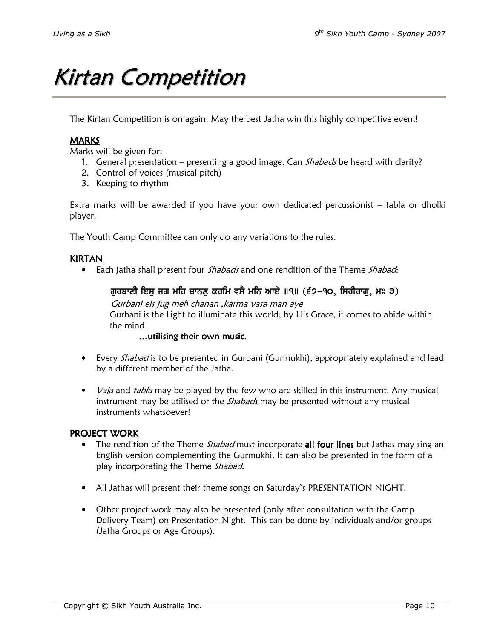# Kirtan Competition

The Kirtan Competition is on again. May the best Jatha win this highly competitive event!

#### MARKS

Marks will be given for:

- 1. General presentation presenting a good image. Can *Shabads* be heard with clarity?
- 2. Control of voices (musical pitch)
- 3. Keeping to rhythm

Extra marks will be awarded if you have your own dedicated percussionist – tabla or dholki player.

The Youth Camp Committee can only do any variations to the rules.

#### KIRTAN

• Each jatha shall present four *Shabads* and one rendition of the Theme *Shabad*:

#### ਗੁਰਬਾਣੀ ਇਸੂ ਜਗ ਮਹਿ ਚਾਨਣੂ ਕਰਮਿ ਵਸੈ ਮਨਿ ਆਏ ॥੧॥ (੬੭–੧੦, ਸਿਰੀਰਾਗੂ, ਮਃ ੩)

Gurbani eis jug meh chanan ,karma vasa man aye Gurbani is the Light to illuminate this world; by His Grace, it comes to abide within the mind

#### …utilising their own music.

- Every *Shabad* is to be presented in Gurbani (Gurmukhi), appropriately explained and lead by a different member of the Jatha.
- *Vaja* and *tabla* may be played by the few who are skilled in this instrument. Any musical instrument may be utilised or the *Shabads* may be presented without any musical instruments whatsoever!

#### PROJECT WORK

- The rendition of the Theme *Shabad* must incorporate **all four lines** but Jathas may sing an English version complementing the Gurmukhi. It can also be presented in the form of a play incorporating the Theme Shabad.
- All Jathas will present their theme songs on Saturday's PRESENTATION NIGHT.
- Other project work may also be presented (only after consultation with the Camp Delivery Team) on Presentation Night. This can be done by individuals and/or groups (Jatha Groups or Age Groups).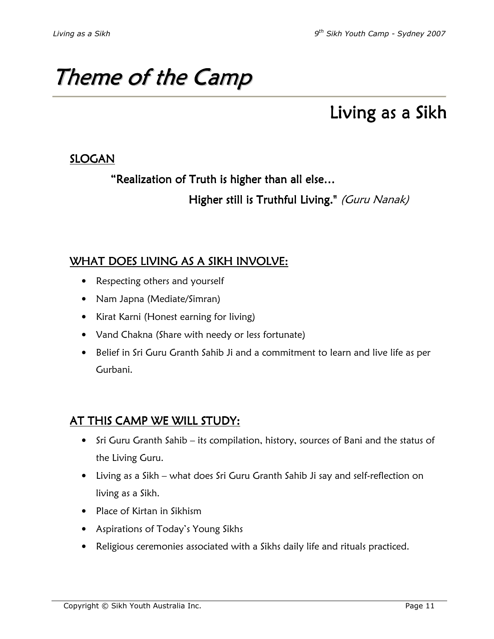# Theme of the Camp

## Living as a Sikh

### SLOGAN

"Realization of Truth is higher than all else…

Higher still is Truthful Living." (Guru Nanak)

### WHAT DOES LIVING AS A SIKH INVOLVE:

- Respecting others and yourself
- Nam Japna (Mediate/Simran)
- Kirat Karni (Honest earning for living)
- Vand Chakna (Share with needy or less fortunate)
- Belief in Sri Guru Granth Sahib Ji and a commitment to learn and live life as per Gurbani.

### AT THIS CAMP WE WILL STUDY:

- Sri Guru Granth Sahib its compilation, history, sources of Bani and the status of the Living Guru.
- Living as a Sikh what does Sri Guru Granth Sahib Ji say and self-reflection on living as a Sikh.
- Place of Kirtan in Sikhism
- Aspirations of Today's Young Sikhs
- Religious ceremonies associated with a Sikhs daily life and rituals practiced.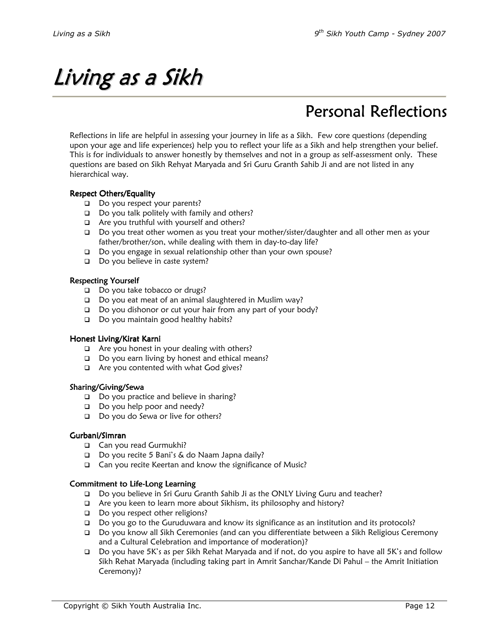# Living as a Sikh

## Personal Reflections

Reflections in life are helpful in assessing your journey in life as a Sikh. Few core questions (depending upon your age and life experiences) help you to reflect your life as a Sikh and help strengthen your belief. This is for individuals to answer honestly by themselves and not in a group as self-assessment only. These questions are based on Sikh Rehyat Maryada and Sri Guru Granth Sahib Ji and are not listed in any hierarchical way.

#### Respect Others/Equality

- Do you respect your parents?
- $\Box$  Do you talk politely with family and others?
- Are you truthful with yourself and others?
- Do you treat other women as you treat your mother/sister/daughter and all other men as your father/brother/son, while dealing with them in day-to-day life?
- □ Do you engage in sexual relationship other than your own spouse?
- Do you believe in caste system?

#### **Respecting Yourself**

- Do you take tobacco or drugs?
- Do you eat meat of an animal slaughtered in Muslim way?
- $\Box$  Do you dishonor or cut your hair from any part of your body?
- Do you maintain good healthy habits?

#### Honest Living/Kirat Karni

- $\Box$  Are you honest in your dealing with others?
- $\Box$  Do you earn living by honest and ethical means?
- **a** Are you contented with what God gives?

#### Sharing/Giving/Sewa

- $\Box$  Do you practice and believe in sharing?
- $\Box$  Do you help poor and needy?
- $\Box$  Do you do Sewa or live for others?

#### Gurbani/Simran

- □ Can you read Gurmukhi?
- Do you recite 5 Bani's & do Naam Japna daily?
- □ Can you recite Keertan and know the significance of Music?

#### Commitment to Life-Long Learning

- Do you believe in Sri Guru Granth Sahib Ji as the ONLY Living Guru and teacher?
- □ Are you keen to learn more about Sikhism, its philosophy and history?
- Do you respect other religions?
- Do you go to the Guruduwara and know its significance as an institution and its protocols?
- Do you know all Sikh Ceremonies (and can you differentiate between a Sikh Religious Ceremony and a Cultural Celebration and importance of moderation)?
- Do you have 5K's as per Sikh Rehat Maryada and if not, do you aspire to have all 5K's and follow Sikh Rehat Maryada (including taking part in Amrit Sanchar/Kande Di Pahul – the Amrit Initiation Ceremony)?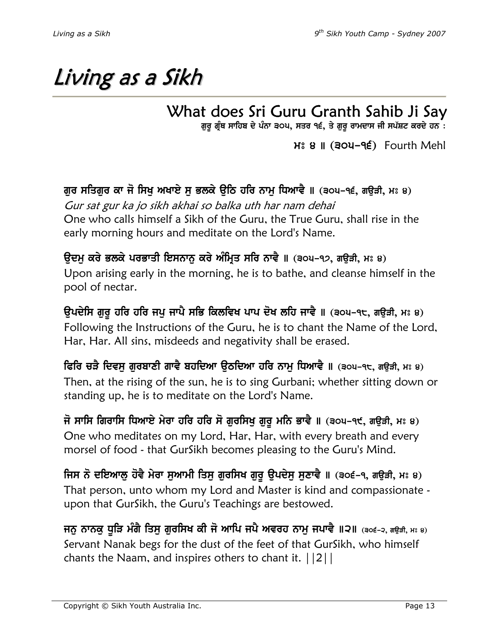# Living as a Sikh

## What does Sri Guru Granth Sahib Ji Say

ਗੁਰੁ ਗ੍ਰੰਥ ਸਾਹਿਬ ਦੇ ਪੰਨਾ ੩੦੫, ਸਤਰ ੧੬, ਤੇ ਗੁਰੁ ਰਾਮਦਾਸ ਜੀ ਸਪੱਸ਼ਟ ਕਰਦੇ ਹਨ :

 $H$  $S$   $B$   $\parallel$  (304-9 $\epsilon$ ) Fourth Mehl

### ਗੁਰ ਸਤਿਗੁਰ ਕਾ ਜੋ ਸਿਖੂ ਅਖਾਏ ਸੂ ਭਲਕੇ ਉਠਿ ਹਰਿ ਨਾਮੂ ਧਿਆਵੈ ॥ (੩੦੫-੧੬, ਗਊੜੀ, ਮਃ ੪)

Gur sat gur ka jo sikh akhai so balka uth har nam dehai One who calls himself a Sikh of the Guru, the True Guru, shall rise in the early morning hours and meditate on the Lord's Name.

### ਉਦਮ ਕਰੇ ਭਲਕੇ ਪਰਭਾਤੀ ਇਸਨਾਨ ਕਰੇ ਅੰਮਿਤ ਸਰਿ ਨਾਵੈ ॥ (੩੦੫-੧੭, ਗੳੜੀ, ਮਃ ੪)

Upon arising early in the morning, he is to bathe, and cleanse himself in the pool of nectar.

### ਉਪਦੇਸਿ ਗੁਰੂ ਹਰਿ ਹਰਿ ਜਪੁ ਜਾਪੈ ਸਭਿ ਕਿਲਵਿਖ ਪਾਪ ਦੋਖ ਲਹਿ ਜਾਵੈ ॥ (੩੦੫−੧੮, ਗਊੜੀ, ਮਃ ੪) Following the Instructions of the Guru, he is to chant the Name of the Lord, Har, Har. All sins, misdeeds and negativity shall be erased.

ਫਿਰਿ ਚੜੈ ਦਿਵਸ ਗੁਰਬਾਣੀ ਗਾਵੈ ਬਹਦਿਆ ਉਠਦਿਆ ਹਰਿ ਨਾਮ ਧਿਆਵੈ ॥ (੩੦੫-੧੮, ਗਊੜੀ, ਮਃ੪) Then, at the rising of the sun, he is to sing Gurbani; whether sitting down or standing up, he is to meditate on the Lord's Name.

ਜੋ ਸਾਸਿ ਗਿਰਾਸਿ ਧਿਆਏ ਮੇਰਾ ਹਰਿ ਹਰਿ ਸੋ ਗੁਰਸਿਖ ਗੁਰੂ ਮਨਿ ਭਾਵੈ ॥ (੩੦੫-੧੯, ਗਊੜੀ, ਮਃ ੪) One who meditates on my Lord, Har, Har, with every breath and every morsel of food - that GurSikh becomes pleasing to the Guru's Mind.

ਜਿਸ ਨੋ ਦਇਆਲੂ ਹੋਵੈ ਮੇਰਾ ਸੁਆਮੀ ਤਿਸੂ ਗੁਰਸਿਖ ਗੁਰੂ ਉਪਦੇਸੂ ਸੁਣਾਵੈ ॥ (੩੦੬–੧, ਗਊੜੀ, ਮਃ ੪) That person, unto whom my Lord and Master is kind and compassionate upon that GurSikh, the Guru's Teachings are bestowed.

ਜਨ ਨਾਨਕ ਧੜਿ ਮੰਗੈ ਤਿਸ ਗਰਸਿਖ ਕੀ ਜੋ ਆਪਿ ਜਪੈ ਅਵਰਹ ਨਾਮ ਜਪਾਵੈ ॥੨॥ (੩੦੬-੨, ਗੳੜੀ, ਮਃ ੪) Servant Nanak begs for the dust of the feet of that GurSikh, who himself chants the Naam, and inspires others to chant it. ||2||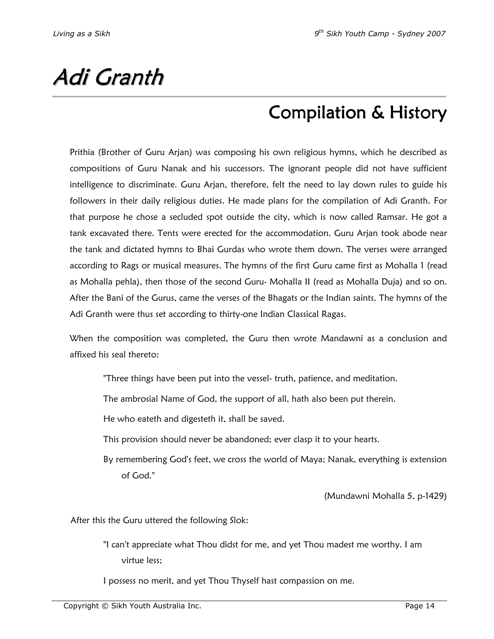# Adi Granth

## **Compilation & History**

Prithia (Brother of Guru Arjan) was composing his own religious hymns, which he described as compositions of Guru Nanak and his successors. The ignorant people did not have sufficient intelligence to discriminate. Guru Arjan, therefore, felt the need to lay down rules to guide his followers in their daily religious duties. He made plans for the compilation of Adi Granth. For that purpose he chose a secluded spot outside the city, which is now called Ramsar. He got a tank excavated there. Tents were erected for the accommodation. Guru Arjan took abode near the tank and dictated hymns to Bhai Gurdas who wrote them down. The verses were arranged according to Rags or musical measures. The hymns of the first Guru came first as Mohalla 1 (read as Mohalla pehla), then those of the second Guru- Mohalla II (read as Mohalla Duja) and so on. After the Bani of the Gurus, came the verses of the Bhagats or the Indian saints. The hymns of the Adi Granth were thus set according to thirty-one Indian Classical Ragas.

When the composition was completed, the Guru then wrote Mandawni as a conclusion and affixed his seal thereto:

- "Three things have been put into the vessel- truth, patience, and meditation.
- The ambrosial Name of God, the support of all, hath also been put therein.

He who eateth and digesteth it, shall be saved.

- This provision should never be abandoned; ever clasp it to your hearts.
- By remembering God's feet, we cross the world of Maya; Nanak, everything is extension of God."

(Mundawni Mohalla 5, p-1429)

After this the Guru uttered the following Slok:

"I can't appreciate what Thou didst for me, and yet Thou madest me worthy. I am virtue less;

I possess no merit, and yet Thou Thyself hast compassion on me.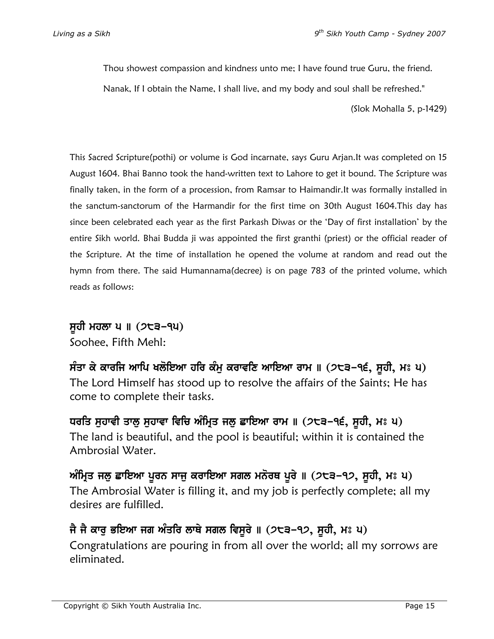Thou showest compassion and kindness unto me; I have found true Guru, the friend.

Nanak, If I obtain the Name, I shall live, and my body and soul shall be refreshed."

(Slok Mohalla 5, p-1429)

This Sacred Scripture(pothi) or volume is God incarnate, says Guru Arjan.It was completed on 15 August 1604. Bhai Banno took the hand-written text to Lahore to get it bound. The Scripture was finally taken, in the form of a procession, from Ramsar to Haimandir.It was formally installed in the sanctum-sanctorum of the Harmandir for the first time on 30th August 1604.This day has since been celebrated each year as the first Parkash Diwas or the 'Day of first installation' by the entire Sikh world. Bhai Budda ji was appointed the first granthi (priest) or the official reader of the Scripture. At the time of installation he opened the volume at random and read out the hymn from there. The said Humannama(decree) is on page 783 of the printed volume, which reads as follows:

ਸੁਹੀ ਮਹਲਾ ਪ $\parallel$  (2੮੩-੧੫) Soohee, Fifth Mehl:

ਸੰਤਾ ਕੇ ਕਾਰਜਿ ਆਪਿ ਖਲੋਇਆ ਹਰਿ ਕੰਮ ਕਰਾਵਣਿ ਆਇਆ ਰਾਮ ॥ (2੮੩-੧੬, ਸੂਹੀ, ਮਃ ੫) The Lord Himself has stood up to resolve the affairs of the Saints; He has come to complete their tasks.

ਧਰਤਿ ਸੁਹਾਵੀ ਤਾਲੁ ਸੁਹਾਵਾ ਵਿਚਿ ਅੰਮ੍ਰਿਤ ਜਲੁ ਛਾਇਆ ਰਾਮ ॥ (੭੮੩–੧੬, ਸੁਹੀ, ਮਃ ੫) The land is beautiful, and the pool is beautiful; within it is contained the Ambrosial Water.

ਅੰਮ੍ਰਿਤ ਜਲ ਛਾਇਆ ਪੂਰਨ ਸਾਜ ਕਰਾਇਆ ਸਗਲ ਮਨੋਰਥ ਪੂਰੇ ॥ (੭੮੩-੧੭, ਸੂਹੀ, ਮਃ ੫) The Ambrosial Water is filling it, and my job is perfectly complete; all my desires are fulfilled.

### ਜੈ ਜੈ ਕਾਰੂ ਭਇਆ ਜਗ ਅੰਤਰਿ ਲਾਥੇ ਸਗਲ ਵਿਸੁਰੇ ॥ (੭੮੩−੧੭, ਸੁਹੀ, ਮਃ ੫)

Congratulations are pouring in from all over the world; all my sorrows are eliminated.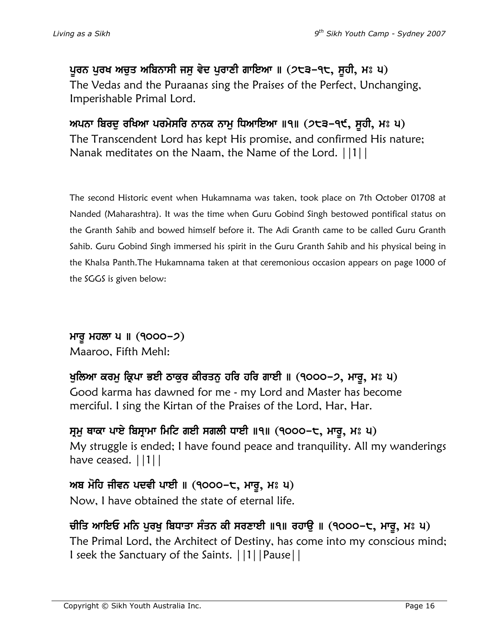### ਪੁਰਨ ਪੁਰਖ ਅਚੁਤ ਅਬਿਨਾਸੀ ਜਸੁ ਵੇਦ ਪੁਰਾਣੀ ਗਾਇਆ ॥ (੭੮੩−੧੮, ਸੂਹੀ, ਮਃ ੫)

The Vedas and the Puraanas sing the Praises of the Perfect, Unchanging, Imperishable Primal Lord.

### ਅਪਨਾ ਬਿਰਦੂ ਰਖਿਆ ਪਰਮੇਸਰਿ ਨਾਨਕ ਨਾਮੂ ਧਿਆਇਆ ॥੧॥ (੭੮੩–੧੯, ਸੂਹੀ, ਮਃ ੫) The Transcendent Lord has kept His promise, and confirmed His nature; Nanak meditates on the Naam, the Name of the Lord. ||1||

The second Historic event when Hukamnama was taken, took place on 7th October 01708 at Nanded (Maharashtra). It was the time when Guru Gobind Singh bestowed pontifical status on the Granth Sahib and bowed himself before it. The Adi Granth came to be called Guru Granth Sahib. Guru Gobind Singh immersed his spirit in the Guru Granth Sahib and his physical being in the Khalsa Panth.The Hukamnama taken at that ceremonious occasion appears on page 1000 of the SGGS is given below:

 $H \bar{g}$  ਮਹਲਾ ਪ ॥ (9000-2) Maaroo, Fifth Mehl:

### ਖੁਲਿਆ ਕਰਮੂ ਕ੍ਰਿਪਾ ਭਈ ਠਾਕੁਰ ਕੀਰਤਨੂ ਹਰਿ ਹਰਿ ਗਾਈ ॥ (੧੦੦੦−੭, ਮਾਰੂ, ਮਃ ੫) Good karma has dawned for me - my Lord and Master has become merciful. I sing the Kirtan of the Praises of the Lord, Har, Har.

ਸਮ ਥਾਕਾ ਪਾਏ ਬਿਸਾਮਾ ਮਿਟਿ ਗਈ ਸਗਲੀ ਧਾਈ ॥੧॥ (੧੦੦੦-੮, ਮਾਰੂ, ਮਃ ੫) My struggle is ended; I have found peace and tranquility. All my wanderings have ceased.  $||1||$ 

### ਅਬ ਮੋਹਿ ਜੀਵਨ ਪਦਵੀ ਪਾਈ ॥ (੧੦੦੦–੮, ਮਾਰੁ, ਮਃ ੫) Now, I have obtained the state of eternal life.

### ਚੀਤਿ ਆਇਓ ਮਨਿ ਪੁਰਖੁ ਬਿਧਾਤਾ ਸੰਤਨ ਕੀ ਸਰਣਾਈ ॥੧॥ ਰਹਾਉ ॥ (੧੦੦੦–੮, ਮਾਰੁ, ਮਃ ੫) The Primal Lord, the Architect of Destiny, has come into my conscious mind; I seek the Sanctuary of the Saints. ||1||Pause||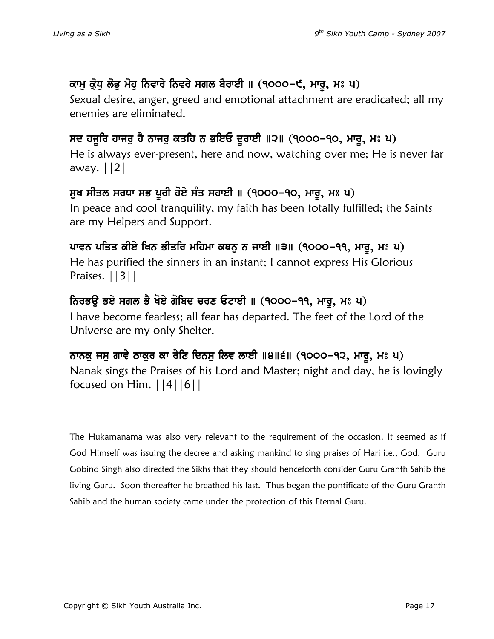### ਕਾਮ ਕ੍ਰੋਧ ਲੋਭ ਮੋਹ ਨਿਵਾਰੇ ਨਿਵਰੇ ਸਗਲ ਬੈਰਾਈ ॥ (੧੦੦੦–੯, ਮਾਰੂ, ਮਃ ੫)

Sexual desire, anger, greed and emotional attachment are eradicated; all my enemies are eliminated.

### ਸਦ ਹਜੂਰਿ ਹਾਜਰੂ ਹੈ ਨਾਜਰੂ ਕਤਹਿ ਨ ਭਇਓ ਦੁਰਾਈ ॥੨॥ (੧੦੦੦–੧੦, ਮਾਰੂ, ਮਃ ੫)

He is always ever-present, here and now, watching over me; He is never far away. ||2||

#### ਸੁਖ ਸੀਤਲ ਸਰਧਾ ਸਭ ਪੂਰੀ ਹੋਏ ਸੰਤ ਸਹਾਈ ॥ (੧੦੦੦-੧੦, ਮਾਰੂ, ਮਃ ੫)

In peace and cool tranquility, my faith has been totally fulfilled; the Saints are my Helpers and Support.

#### ਪਾਵਨ ਪਤਿਤ ਕੀਏ ਖਿਨ ਭੀਤਰਿ ਮਹਿਮਾ ਕਥਨ ਨ ਜਾਈ ॥੩॥ (੧੦੦੦-੧੧, ਮਾਰੂ, ਮਃ ੫)

He has purified the sinners in an instant; I cannot express His Glorious Praises. ||3||

### ਨਿਰਭਉ ਭਏ ਸਗਲ ਭੈ ਖੋਏ ਗੋਬਿਦ ਚਰਣ ਓਟਾਈ ॥ (੧੦੦੦-੧੧, ਮਾਰੂ, ਮਃ ੫)

I have become fearless; all fear has departed. The feet of the Lord of the Universe are my only Shelter.

### ਨਾਨਕੁ ਜਸੁ ਗਾਵੈ ਠਾਕੁਰ ਕਾ ਰੈਣਿ ਦਿਨਸੁ ਲਿਵ ਲਾਈ ॥੪॥੬॥ (੧੦੦੦−੧੨, ਮਾਰੁ, ਮਃ ੫)

Nanak sings the Praises of his Lord and Master; night and day, he is lovingly focused on Him.  $||4||6||$ 

The Hukamanama was also very relevant to the requirement of the occasion. It seemed as if God Himself was issuing the decree and asking mankind to sing praises of Hari i.e., God. Guru Gobind Singh also directed the Sikhs that they should henceforth consider Guru Granth Sahib the living Guru. Soon thereafter he breathed his last. Thus began the pontificate of the Guru Granth Sahib and the human society came under the protection of this Eternal Guru.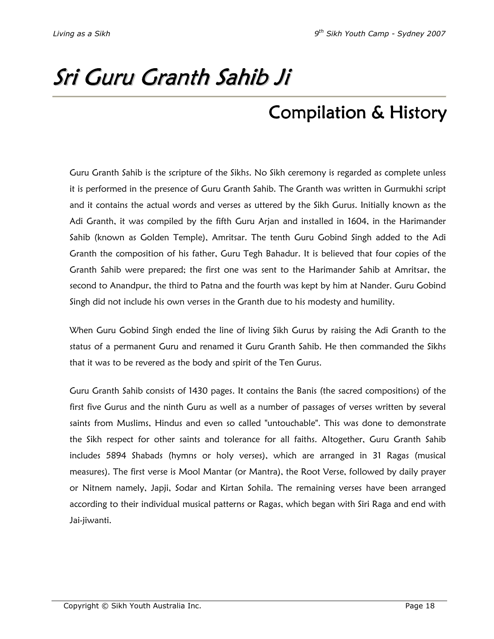# Sri Guru Granth Sahib Ji

## Compilation & History

Guru Granth Sahib is the scripture of the Sikhs. No Sikh ceremony is regarded as complete unless it is performed in the presence of Guru Granth Sahib. The Granth was written in Gurmukhi script and it contains the actual words and verses as uttered by the Sikh Gurus. Initially known as the Adi Granth, it was compiled by the fifth Guru Arjan and installed in 1604, in the Harimander Sahib (known as Golden Temple), Amritsar. The tenth Guru Gobind Singh added to the Adi Granth the composition of his father, Guru Tegh Bahadur. It is believed that four copies of the Granth Sahib were prepared; the first one was sent to the Harimander Sahib at Amritsar, the second to Anandpur, the third to Patna and the fourth was kept by him at Nander. Guru Gobind Singh did not include his own verses in the Granth due to his modesty and humility.

When Guru Gobind Singh ended the line of living Sikh Gurus by raising the Adi Granth to the status of a permanent Guru and renamed it Guru Granth Sahib. He then commanded the Sikhs that it was to be revered as the body and spirit of the Ten Gurus.

Guru Granth Sahib consists of 1430 pages. It contains the Banis (the sacred compositions) of the first five Gurus and the ninth Guru as well as a number of passages of verses written by several saints from Muslims, Hindus and even so called "untouchable". This was done to demonstrate the Sikh respect for other saints and tolerance for all faiths. Altogether, Guru Granth Sahib includes 5894 Shabads (hymns or holy verses), which are arranged in 31 Ragas (musical measures). The first verse is Mool Mantar (or Mantra), the Root Verse, followed by daily prayer or Nitnem namely, Japji, Sodar and Kirtan Sohila. The remaining verses have been arranged according to their individual musical patterns or Ragas, which began with Siri Raga and end with Jai-jiwanti.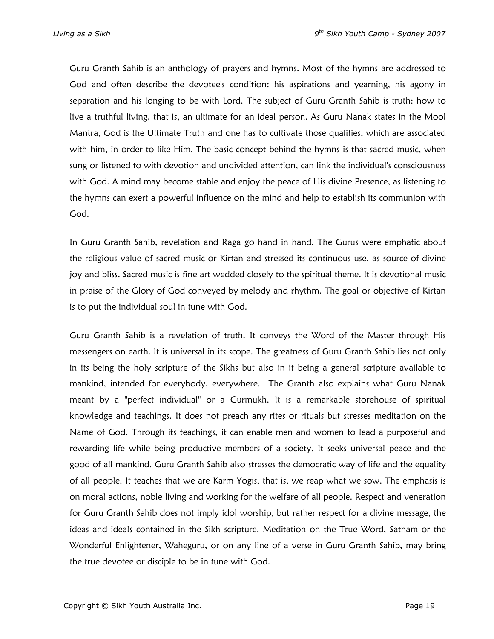Guru Granth Sahib is an anthology of prayers and hymns. Most of the hymns are addressed to God and often describe the devotee's condition: his aspirations and yearning, his agony in separation and his longing to be with Lord. The subject of Guru Granth Sahib is truth: how to live a truthful living, that is, an ultimate for an ideal person. As Guru Nanak states in the Mool Mantra, God is the Ultimate Truth and one has to cultivate those qualities, which are associated with him, in order to like Him. The basic concept behind the hymns is that sacred music, when sung or listened to with devotion and undivided attention, can link the individual's consciousness with God. A mind may become stable and enjoy the peace of His divine Presence, as listening to the hymns can exert a powerful influence on the mind and help to establish its communion with God.

In Guru Granth Sahib, revelation and Raga go hand in hand. The Gurus were emphatic about the religious value of sacred music or Kirtan and stressed its continuous use, as source of divine joy and bliss. Sacred music is fine art wedded closely to the spiritual theme. It is devotional music in praise of the Glory of God conveyed by melody and rhythm. The goal or objective of Kirtan is to put the individual soul in tune with God.

Guru Granth Sahib is a revelation of truth. It conveys the Word of the Master through His messengers on earth. It is universal in its scope. The greatness of Guru Granth Sahib lies not only in its being the holy scripture of the Sikhs but also in it being a general scripture available to mankind, intended for everybody, everywhere. The Granth also explains what Guru Nanak meant by a "perfect individual" or a Gurmukh. It is a remarkable storehouse of spiritual knowledge and teachings. It does not preach any rites or rituals but stresses meditation on the Name of God. Through its teachings, it can enable men and women to lead a purposeful and rewarding life while being productive members of a society. It seeks universal peace and the good of all mankind. Guru Granth Sahib also stresses the democratic way of life and the equality of all people. It teaches that we are Karm Yogis, that is, we reap what we sow. The emphasis is on moral actions, noble living and working for the welfare of all people. Respect and veneration for Guru Granth Sahib does not imply idol worship, but rather respect for a divine message, the ideas and ideals contained in the Sikh scripture. Meditation on the True Word, Satnam or the Wonderful Enlightener, Waheguru, or on any line of a verse in Guru Granth Sahib, may bring the true devotee or disciple to be in tune with God.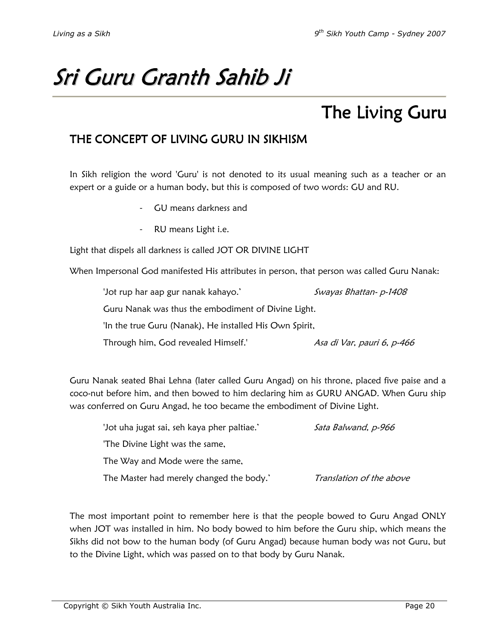# Sri Guru Granth Sahib Ji

# The Living Guru

### THE CONCEPT OF LIVING GURU IN SIKHISM

In Sikh religion the word 'Guru' is not denoted to its usual meaning such as a teacher or an expert or a guide or a human body, but this is composed of two words: GU and RU.

- GU means darkness and
- RU means Light i.e.

Light that dispels all darkness is called JOT OR DIVINE LIGHT

When Impersonal God manifested His attributes in person, that person was called Guru Nanak:

'Jot rup har aap gur nanak kahayo.' Swayas Bhattan- p-1408

Guru Nanak was thus the embodiment of Divine Light.

'In the true Guru (Nanak), He installed His Own Spirit,

Through him, God revealed Himself.' Asa di Var, pauri 6, p-466

Guru Nanak seated Bhai Lehna (later called Guru Angad) on his throne, placed five paise and a coco-nut before him, and then bowed to him declaring him as GURU ANGAD. When Guru ship was conferred on Guru Angad, he too became the embodiment of Divine Light.

| 'Jot uha jugat sai, seh kaya pher paltiae.' | Sata Balwand, p-966      |
|---------------------------------------------|--------------------------|
| The Divine Light was the same,              |                          |
| The Way and Mode were the same,             |                          |
| The Master had merely changed the body.'    | Translation of the above |

The most important point to remember here is that the people bowed to Guru Angad ONLY when JOT was installed in him. No body bowed to him before the Guru ship, which means the Sikhs did not bow to the human body (of Guru Angad) because human body was not Guru, but to the Divine Light, which was passed on to that body by Guru Nanak.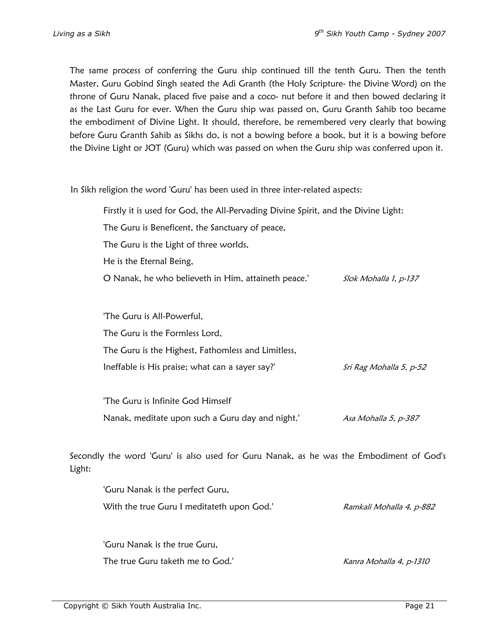The same process of conferring the Guru ship continued till the tenth Guru. Then the tenth Master, Guru Gobind Singh seated the Adi Granth (the Holy Scripture- the Divine Word) on the throne of Guru Nanak, placed five paise and a coco- nut before it and then bowed declaring it as the Last Guru for ever. When the Guru ship was passed on, Guru Granth Sahib too became the embodiment of Divine Light. It should, therefore, be remembered very clearly that bowing before Guru Granth Sahib as Sikhs do, is not a bowing before a book, but it is a bowing before the Divine Light or JOT (Guru) which was passed on when the Guru ship was conferred upon it.

In Sikh religion the word 'Guru' has been used in three inter-related aspects:

Firstly it is used for God, the All-Pervading Divine Spirit, and the Divine Light: The Guru is Beneficent, the Sanctuary of peace, The Guru is the Light of three worlds, He is the Eternal Being, O Nanak, he who believeth in Him, attaineth peace.' Slok Mohalla 1, p-137

'The Guru is All-Powerful, The Guru is the Formless Lord, The Guru is the Highest, Fathomless and Limitless, Ineffable is His praise; what can a sayer say?' Sin Rag Mohalla 5, p-52

'The Guru is Infinite God Himself Nanak, meditate upon such a Guru day and night.' Asa Mohalla 5, p-387

Secondly the word 'Guru' is also used for Guru Nanak, as he was the Embodiment of God's Light:

| 'Guru Nanak is the perfect Guru,           |                          |
|--------------------------------------------|--------------------------|
| With the true Guru I meditateth upon God.' | Ramkali Mohalla 4, p-882 |
|                                            |                          |

'Guru Nanak is the true Guru, The true Guru taketh me to God.' Kanra Mohalla 4, p-1310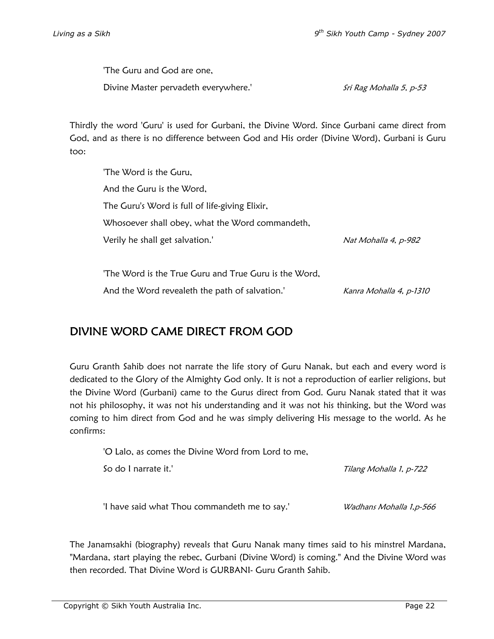'The Guru and God are one, Divine Master pervadeth everywhere.' Says Solid Rag Mohalla 5, p-53

Thirdly the word 'Guru' is used for Gurbani, the Divine Word. Since Gurbani came direct from God, and as there is no difference between God and His order (Divine Word), Gurbani is Guru too:

| 'The Word is the Guru,                          |                      |
|-------------------------------------------------|----------------------|
| And the Guru is the Word,                       |                      |
| The Guru's Word is full of life-giving Elixir,  |                      |
| Whosoever shall obey, what the Word commandeth, |                      |
| Verily he shall get salvation.'                 | Nat Mohalla 4, p-982 |
|                                                 |                      |
|                                                 |                      |

'The Word is the True Guru and True Guru is the Word, And the Word revealeth the path of salvation.' Kanra Mohalla 4, p-1310

### DIVINE WORD CAME DIRECT FROM GOD

Guru Granth Sahib does not narrate the life story of Guru Nanak, but each and every word is dedicated to the Glory of the Almighty God only. It is not a reproduction of earlier religions, but the Divine Word (Gurbani) came to the Gurus direct from God. Guru Nanak stated that it was not his philosophy, it was not his understanding and it was not his thinking, but the Word was coming to him direct from God and he was simply delivering His message to the world. As he confirms:

| 'O Lalo, as comes the Divine Word from Lord to me, |                         |
|----------------------------------------------------|-------------------------|
| So do I narrate it.'                               | Tilang Mohalla 1, p-722 |
| 'I have said what Thou commandeth me to say.'      | Wadhans Mohalla 1,p-566 |

The Janamsakhi (biography) reveals that Guru Nanak many times said to his minstrel Mardana, "Mardana, start playing the rebec, Gurbani (Divine Word) is coming." And the Divine Word was then recorded. That Divine Word is GURBANI- Guru Granth Sahib.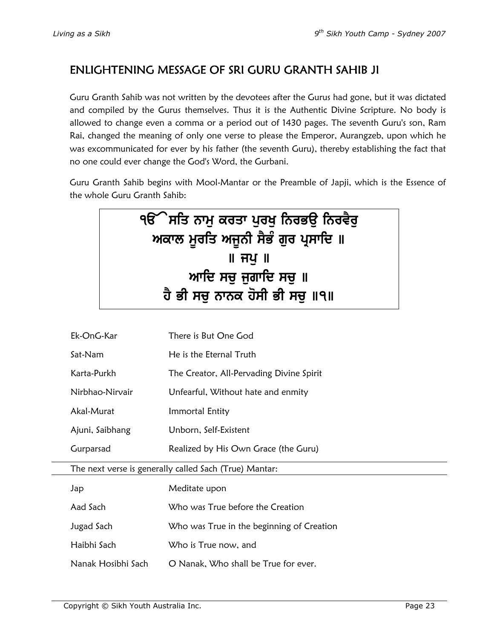### ENLIGHTENING MESSAGE OF SRI GURU GRANTH SAHIB JI

Guru Granth Sahib was not written by the devotees after the Gurus had gone, but it was dictated and compiled by the Gurus themselves. Thus it is the Authentic Divine Scripture. No body is allowed to change even a comma or a period out of 1430 pages. The seventh Guru's son, Ram Rai, changed the meaning of only one verse to please the Emperor, Aurangzeb, upon which he was excommunicated for ever by his father (the seventh Guru), thereby establishing the fact that no one could ever change the God's Word, the Gurbani.

Guru Granth Sahib begins with Mool-Mantar or the Preamble of Japji, which is the Essence of the whole Guru Granth Sahib:

| ੴ ਸਤਿ ਨਾਮੂ ਕਰਤਾ ਪੂਰਖੂ ਨਿਰਭਉ ਨਿਰਵੈਰੂ |
|-------------------------------------|
| ਅਕਾਲ ਮੂਰਤਿ ਅਜੁਨੀ ਸੈਭੰ ਗੁਰ ਪ੍ਰਸਾਦਿ ॥ |
| ॥ नय ॥                              |
| ਆਦਿ ਸਚੁ ਜੁਗਾਦਿ ਸਚੁ ॥                |
| ਹੈ ਭੀ ਸਚੁ ਨਾਨਕ ਹੋਸੀ ਭੀ ਸਚੁ ॥੧॥      |
|                                     |

| Ek-OnG-Kar         | There is But One God                                   |
|--------------------|--------------------------------------------------------|
| Sat-Nam            | He is the Eternal Truth                                |
| Karta-Purkh        | The Creator, All-Pervading Divine Spirit               |
| Nirbhao-Nirvair    | Unfearful, Without hate and enmity                     |
| Akal-Murat         | Immortal Entity                                        |
| Ajuni, Saibhang    | Unborn, Self-Existent                                  |
| Gurparsad          | Realized by His Own Grace (the Guru)                   |
|                    | The next verse is generally called Sach (True) Mantar: |
| Jap                | Meditate upon                                          |
| Aad Sach           | Who was True before the Creation                       |
| Jugad Sach         | Who was True in the beginning of Creation              |
| Haibhi Sach        | Who is True now, and                                   |
| Nanak Hosibhi Sach | O Nanak, Who shall be True for ever.                   |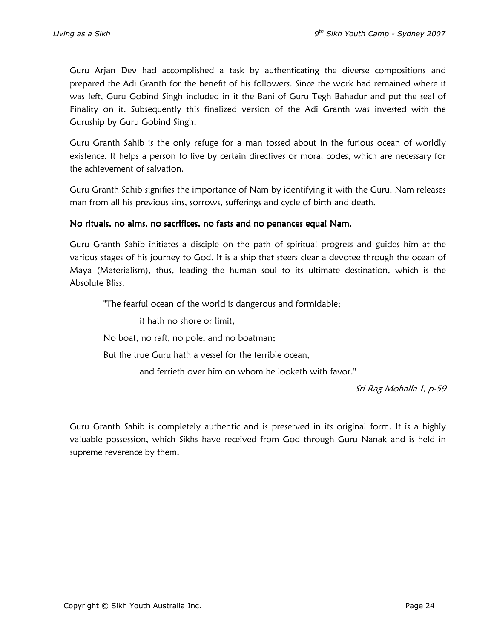Guru Arjan Dev had accomplished a task by authenticating the diverse compositions and prepared the Adi Granth for the benefit of his followers. Since the work had remained where it was left, Guru Gobind Singh included in it the Bani of Guru Tegh Bahadur and put the seal of Finality on it. Subsequently this finalized version of the Adi Granth was invested with the Guruship by Guru Gobind Singh.

Guru Granth Sahib is the only refuge for a man tossed about in the furious ocean of worldly existence. It helps a person to live by certain directives or moral codes, which are necessary for the achievement of salvation.

Guru Granth Sahib signifies the importance of Nam by identifying it with the Guru. Nam releases man from all his previous sins, sorrows, sufferings and cycle of birth and death.

#### No rituals, no alms, no sacrifices, no fasts and no penances equal Nam.

Guru Granth Sahib initiates a disciple on the path of spiritual progress and guides him at the various stages of his journey to God. It is a ship that steers clear a devotee through the ocean of Maya (Materialism), thus, leading the human soul to its ultimate destination, which is the Absolute Bliss.

"The fearful ocean of the world is dangerous and formidable;

it hath no shore or limit,

No boat, no raft, no pole, and no boatman;

But the true Guru hath a vessel for the terrible ocean,

and ferrieth over him on whom he looketh with favor."

Sri Rag Mohalla 1, p-59

Guru Granth Sahib is completely authentic and is preserved in its original form. It is a highly valuable possession, which Sikhs have received from God through Guru Nanak and is held in supreme reverence by them.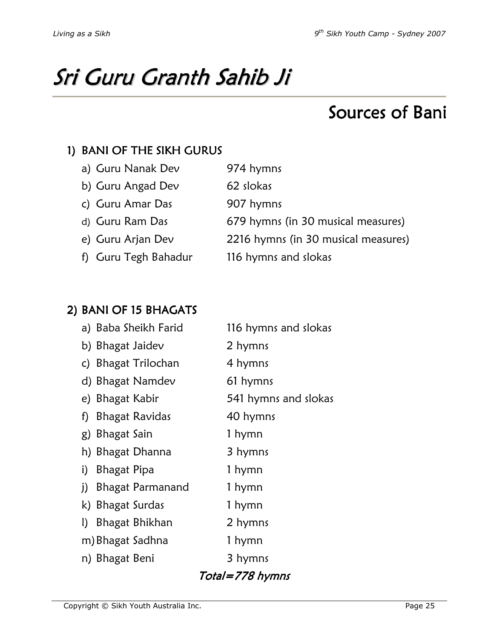# Sri Guru Granth Sahib Ji

## Sources of Bani

### 1) BANI OF THE SIKH GURUS

| a) Guru Nanak Dev    | 974 hymns                           |
|----------------------|-------------------------------------|
| b) Guru Angad Dev    | 62 slokas                           |
| c) Guru Amar Das     | 907 hymns                           |
| d) Guru Ram Das      | 679 hymns (in 30 musical measures)  |
| e) Guru Arjan Dev    | 2216 hymns (in 30 musical measures) |
| f) Guru Tegh Bahadur | 116 hymns and slokas                |
|                      |                                     |
|                      |                                     |

### 2) BANI OF 15 BHAGATS

|              |                  | a) Baba Sheikh Farid    | 116 hymns and slokas |
|--------------|------------------|-------------------------|----------------------|
|              | b) Bhagat Jaidev |                         | 2 hymns              |
|              |                  | c) Bhagat Trilochan     | 4 hymns              |
|              |                  | d) Bhagat Namdev        | 61 hymns             |
|              | e) Bhagat Kabir  |                         | 541 hymns and slokas |
|              |                  | f) Bhagat Ravidas       | 40 hymns             |
|              | g) Bhagat Sain   |                         | 1 hymn               |
|              |                  | h) Bhagat Dhanna        | 3 hymns              |
|              | i) Bhagat Pipa   |                         | 1 hymn               |
| j)           |                  | <b>Bhagat Parmanand</b> | 1 hymn               |
|              | k) Bhagat Surdas |                         | 1 hymn               |
| $\mathbf{I}$ |                  | Bhagat Bhikhan          | 2 hymns              |
|              |                  | m) Bhagat Sadhna        | 1 hymn               |
|              | n) Bhagat Beni   |                         | 3 hymns              |
|              |                  |                         | Total=778 hymns      |

#### Copyright © Sikh Youth Australia Inc. **Page 25** Page 25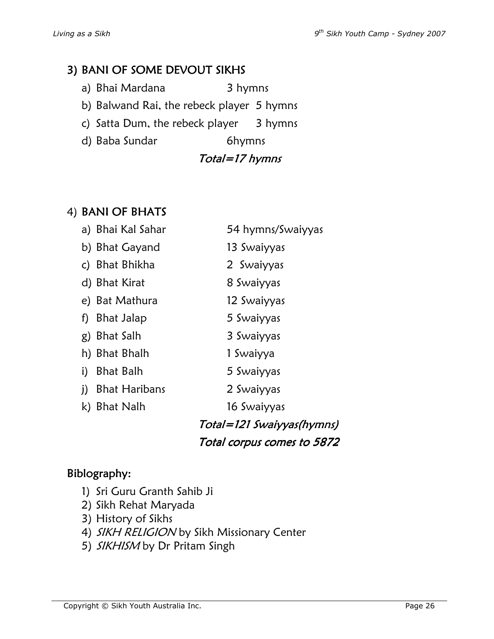### 3) BANI OF SOME DEVOUT SIKHS

- a) Bhai Mardana 3 hymns
- b) Balwand Rai, the rebeck player 5 hymns
- c) Satta Dum, the rebeck player 3 hymns
- d) Baba Sundar 6hymns

### Total=17 hymns

### 4) BANI OF BHATS

- a) Bhai Kal Sahar 54 hymns/Swaiyyas b) Bhat Gayand 13 Swaiyyas c) Bhat Bhikha 2 Swaiyyas
- d) Bhat Kirat 8 Swaiyyas
- 
- e) Bat Mathura 12 Swaiyyas
- f) Bhat Jalap 5 Swaiyyas
- g) Bhat Salh 3 Swaiyyas
- h) Bhat Bhalh 1 Swaiyya
- i) Bhat Balh 5 Swaiyyas
- j) Bhat Haribans 2 Swaiyyas
- k) Bhat Nalh 16 Swaiyyas

### Total=121 Swaiyyas(hymns) Total corpus comes to 5872

# Biblography:

- 1) Sri Guru Granth Sahib Ji
- 2) Sikh Rehat Maryada
- 3) History of Sikhs
- 4) SIKH RELIGION by Sikh Missionary Center
- 5) SIKHISM by Dr Pritam Singh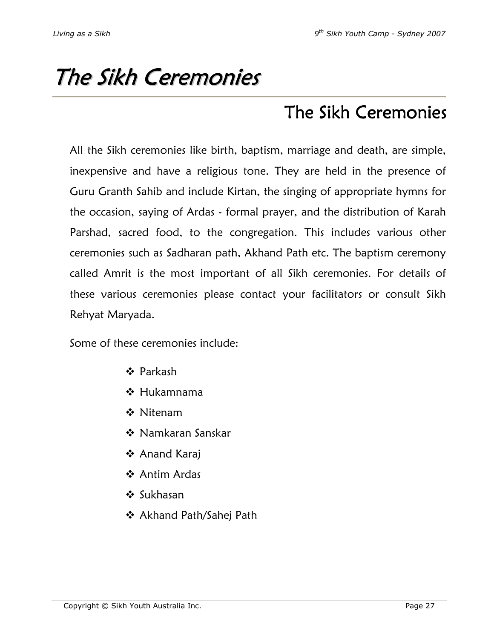# The Sikh Ceremonies

## The Sikh Ceremonies

All the Sikh ceremonies like birth, baptism, marriage and death, are simple, inexpensive and have a religious tone. They are held in the presence of Guru Granth Sahib and include Kirtan, the singing of appropriate hymns for the occasion, saying of Ardas - formal prayer, and the distribution of Karah Parshad, sacred food, to the congregation. This includes various other ceremonies such as Sadharan path, Akhand Path etc. The baptism ceremony called Amrit is the most important of all Sikh ceremonies. For details of these various ceremonies please contact your facilitators or consult Sikh Rehyat Maryada.

Some of these ceremonies include:

- Parkash
- ❖ Hukamnama
- **❖ Nitenam**
- ❖ Namkaran Sanskar
- ❖ Anand Karai
- ❖ Antim Ardas
- ❖ Sukhasan
- Akhand Path/Sahej Path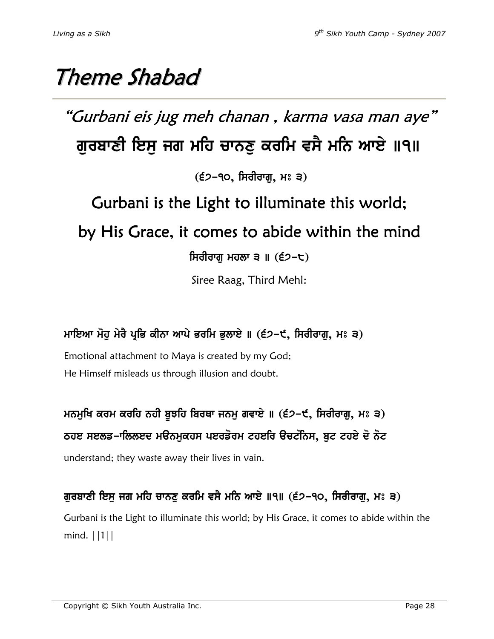# Theme Shabad

# "Gurbani eis jug meh chanan , karma vasa man aye" ਗੁਰਬਾਣੀ ਇਸ ਜਗ ਮਹਿ ਚਾਨਣੂ ਕਰਮਿ ਵਸੈ ਮਨਿ ਆਏ ॥੧॥

 $(£2 - 90, \text{pi}$ ਰਾਗ, ਮਃ ੩ $)$ 

## Gurbani is the Light to illuminate this world;

### by His Grace, it comes to abide within the mind

ਸਿਰੀਰਾਗ ਮਹਲਾ ੩ ॥  $($ ੬੭–੮ $)$ 

Siree Raag, Third Mehl:

### ਮਾਇਆ ਮੋਹ ਮੇਰੈ ਪਭਿ ਕੀਨਾ ਆਪੇ ਭਰਮਿ ਭਲਾਏ ॥ (੬੭−੯, ਸਿਰੀਰਾਗ, ਮਃ ੩)

Emotional attachment to Maya is created by my God; He Himself misleads us through illusion and doubt.

# ਮਨਮੁਖਿ ਕਰਮ ਕਰਹਿ ਨਹੀ ਬੁਝਹਿ ਬਿਰਥਾ ਜਨਮੁ ਗਵਾਏ ॥ (੬੭−੯, ਸਿਰੀਰਾਗੁ, ਮਃ ੩) ਠਹੲ ਸੲਲਡ−ਾਲਿਲੲਦ ਮੳਨਮਕਹਸ ਪੲਰਡੋਰਮ ਟਹੲਰਿ ੳਚਟਨਿਸ, ਬਟ ਟਹਏ ਦੋ ਨੋਟ

understand; they waste away their lives in vain.

### ਗੁਰਬਾਣੀ ਇਸ ਜਗ ਮਹਿ ਚਾਨਣੂ ਕਰਮਿ ਵਸੈ ਮਨਿ ਆਏ ॥੧॥ (੬੭–੧੦, ਸਿਰੀਰਾਗ, ਮਃ ੩)

Gurbani is the Light to illuminate this world; by His Grace, it comes to abide within the mind. ||1||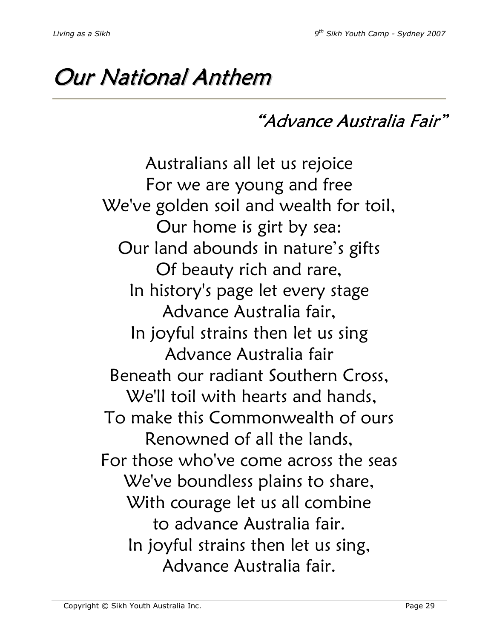# Our National Anthem

## "Advance Australia Fair" "Advance

Australians all let us rejoice For we are young and free We've golden soil and wealth for toil, Our home is girt by sea: Our land abounds in nature's gifts Of beauty rich and rare, In history's page let every stage Advance Australia fair, In joyful strains then let us sing Advance Australia fair Beneath our radiant Southern Cross, We'll toil with hearts and hands, To make this Commonwealth of ours Renowned of all the lands, For those who've come across the seas We've boundless plains to share, With courage let us all combine to advance Australia fair. In joyful strains then let us sing, Advance Australia fair.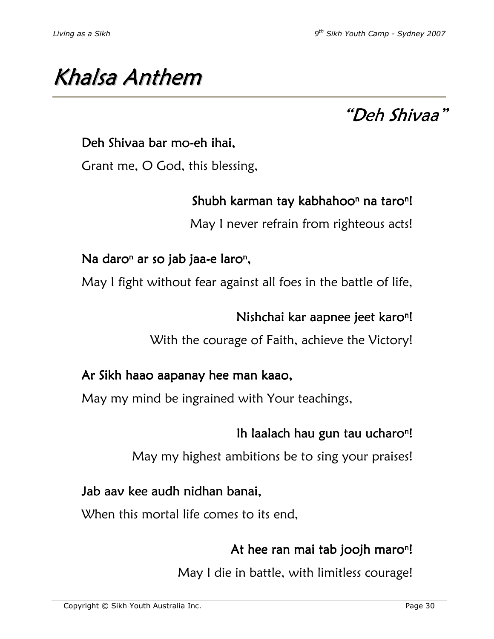# Khalsa Anthem

"Deh Shivaa" "Deh

### Deh Shivaa bar mo-eh ihai,

Grant me, O God, this blessing,

### Shubh karman tay kabhahoon na taron!

May I never refrain from righteous acts!

### Na daro<sup>n</sup> ar so jab jaa-e laro<sup>n</sup>,

May I fight without fear against all foes in the battle of life,

### Nishchai kar aapnee jeet karo<sup>n</sup>!

With the courage of Faith, achieve the Victory!

### Ar Sikh haao aapanay hee man kaao,

May my mind be ingrained with Your teachings,

### Ih laalach hau gun tau ucharo<sup>n</sup>!

May my highest ambitions be to sing your praises!

### Jab aav kee audh nidhan banai.

When this mortal life comes to its end.

### At hee ran mai tab joojh maro<sup>n</sup>!

May I die in battle, with limitless courage!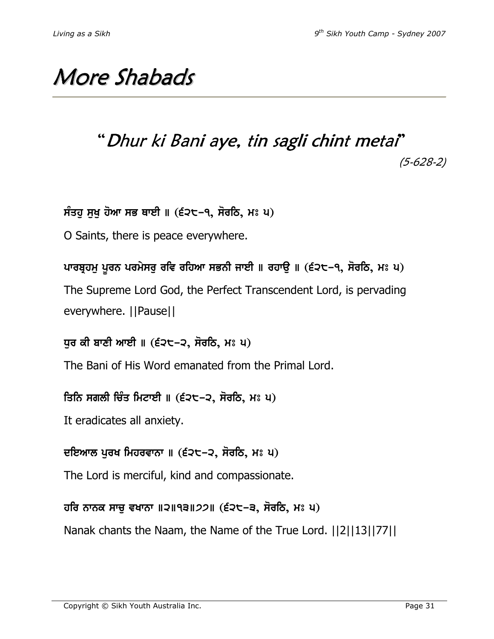# More Shabads

# "Dhur ki Bani aye, tin sagli chint metai"

(5-628-2)

ਸੰਤਹ ਸੁਖ ਹੋਆ ਸਭ ਥਾਈ ॥ (੬੨੮-੧, ਸੋਰਠਿ, ਮਃ ੫)

O Saints, there is peace everywhere.

### ਪਾਰਬੁਹਮ ਪਰਨ ਪਰਮੇਸਰ ਰਵਿ ਰਹਿਆ ਸਭਨੀ ਜਾਈ ॥ ਰਹਾੳ ॥ (੬੨੮−੧, ਸੋਰਠਿ, ਮਃ ੫)

The Supreme Lord God, the Perfect Transcendent Lord, is pervading everywhere. ||Pause||

ਧਰ ਕੀ ਬਾਣੀ ਆਈ ॥ (੬੨੮–੨, ਸੋਰਠਿ, ਮਃ ੫)

The Bani of His Word emanated from the Primal Lord.

### ਤਿਨਿ ਸਗਲੀ ਚਿੰਤ ਮਿਟਾਈ ॥ (੬੨੮-੨, ਸੋਰਠਿ, ਮਃ ੫)

It eradicates all anxiety.

### eਇਆਲ ਪਰਖ ਮਿਹਰਵਾਨਾ ॥ (੬੨੮–੨, ਸੋਰਠਿ, ਮਃ ੫)

The Lord is merciful, kind and compassionate.

ਹਰਿ ਨਾਨਕ ਸਾਚੁ ਵਖਾਨਾ ॥੨॥੧੩॥੭੭॥ (੬੨੮-੩, ਸੋਰਠਿ, ਮਃ ੫) Nanak chants the Naam, the Name of the True Lord. ||2||13||77||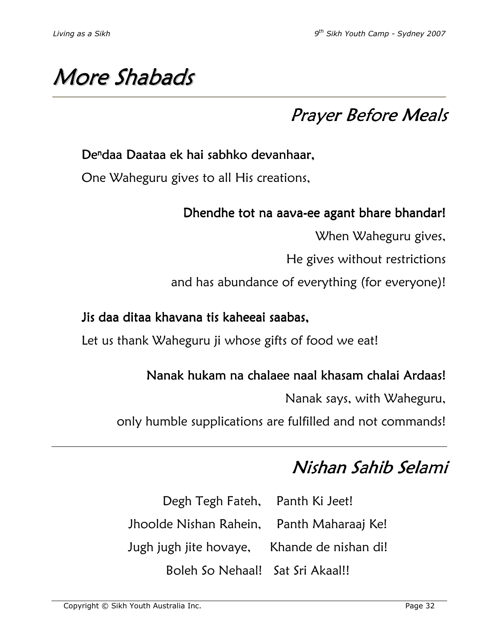# More Shabads

## Prayer Before Meals

### Dendaa Daataa ek hai sabhko devanhaar,

One Waheguru gives to all His creations,

### Dhendhe tot na aava-ee agant bhare bhandar!

When Waheguru gives,

He gives without restrictions

and has abundance of everything (for everyone)!

### Jis daa ditaa khavana tis kaheeai saabas,

Let us thank Waheguru ji whose gifts of food we eat!

### Nanak hukam na chalaee naal khasam chalai Ardaas!

Nanak says, with Waheguru,

only humble supplications are fulfilled and not commands!

## Nishan Sahib Selami

Degh Tegh Fateh, Panth Ki Jeet! Jhoolde Nishan Rahein, Panth Maharaaj Ke! Jugh jugh jite hovaye, Khande de nishan di! Boleh So Nehaal! Sat Sri Akaal!!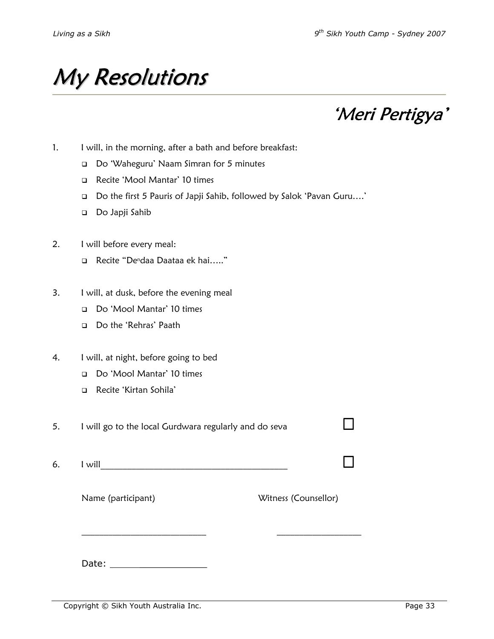# My Resolutions



1. I will, in the morning, after a bath and before breakfast:

- Do 'Waheguru' Naam Simran for 5 minutes
- Recite 'Mool Mantar' 10 times
- Do the first 5 Pauris of Japji Sahib, followed by Salok 'Pavan Guru….'
- □ Do Japji Sahib
- 2. I will before every meal:
	- Recite "Dendaa Daataa ek hai….."
- 3. I will, at dusk, before the evening meal
	- Do 'Mool Mantar' 10 times
	- Do the 'Rehras' Paath
- 4. I will, at night, before going to bed
	- Do 'Mool Mantar' 10 times
	- Recite 'Kirtan Sohila'
- 5. I will go to the local Gurdwara regularly and do seva
- $6.$  I will

 $\overline{\phantom{a}}$  , and the contract of the contract of the contract of the contract of the contract of the contract of the contract of the contract of the contract of the contract of the contract of the contract of the contrac

Name (participant) Witness (Counsellor)

Date: \_\_\_\_\_\_\_\_\_\_\_\_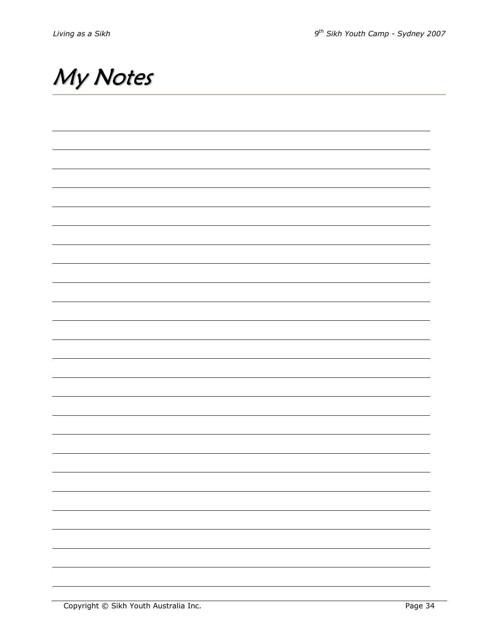# My Notes